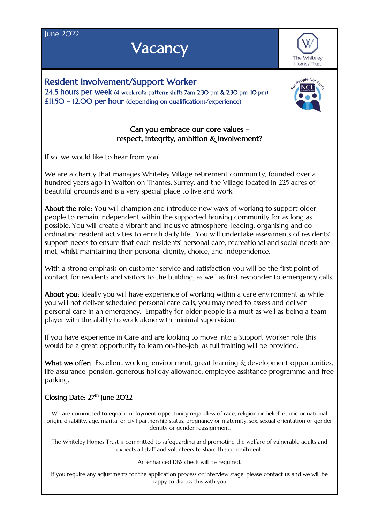**Iune 2022** 

## **Vacancy**

The Whiteley Homes Trust

Resident Involvement/Support Worker 24.5 hours per week (4-week rota pattern; shifts 7am-2.30 pm & 2.30 pm–10 pm) £11.50 – 12.00 per hour (depending on qualifications/experience)



## Can you embrace our core values respect, integrity, ambition & involvement?

If so, we would like to hear from you!

We are a charity that manages Whiteley Village retirement community, founded over a hundred years ago in Walton on Thames, Surrey, and the Village located in 225 acres of beautiful grounds and is a very special place to live and work.

About the role: You will champion and introduce new ways of working to support older people to remain independent within the supported housing community for as long as possible. You will create a vibrant and inclusive atmosphere, leading, organising and coordinating resident activities to enrich daily life. You will undertake assessments of residents' support needs to ensure that each residents' personal care, recreational and social needs are met, whilst maintaining their personal dignity, choice, and independence.

With a strong emphasis on customer service and satisfaction you will be the first point of contact for residents and visitors to the building, as well as first responder to emergency calls.

About you: Ideally you will have experience of working within a care environment as while you will not deliver scheduled personal care calls, you may need to assess and deliver personal care in an emergency. Empathy for older people is a must as well as being a team player with the ability to work alone with minimal supervision.

If you have experience in Care and are looking to move into a Support Worker role this would be a great opportunity to learn on-the-job, as full training will be provided.

What we offer: Excellent working environment, great learning & development opportunities, life assurance, pension, generous holiday allowance, employee assistance programme and free parking.

## Closing Date:  $27<sup>th</sup>$  June  $2O22$

We are committed to equal employment opportunity regardless of race, religion or belief, ethnic or national origin, disability, age, marital or civil partnership status, pregnancy or maternity, sex, sexual orientation or gender identity or gender reassignment.

The Whiteley Homes Trust is committed to safeguarding and promoting the welfare of vulnerable adults and expects all staff and volunteers to share this commitment.

An enhanced DBS check will be required.

If you require any adjustments for the application process or interview stage, please contact us and we will be happy to discuss this with you.